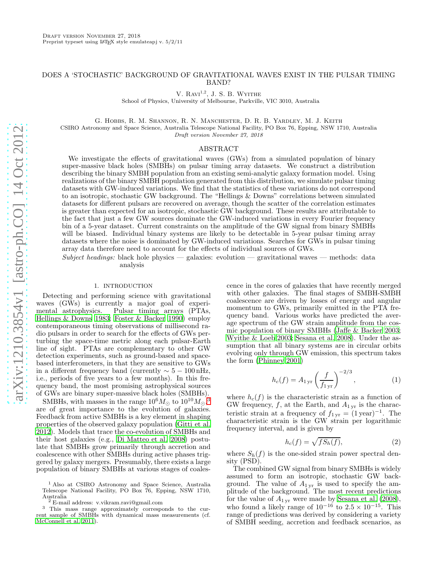# DOES A 'STOCHASTIC' BACKGROUND OF GRAVITATIONAL WAVES EXIST IN THE PULSAR TIMING BAND?

V.  $\text{Ravi}^{1,2}$ , J. S. B. Wyithe

School of Physics, University of Melbourne, Parkville, VIC 3010, Australia

G. Hobbs, R. M. Shannon, R. N. Manchester, D. R. B. Yardley, M. J. Keith

CSIRO Astronomy and Space Science, Australia Telescope National Facility, PO Box 76, Epping, NSW 1710, Australia

Draft version November 27, 2018

# ABSTRACT

We investigate the effects of gravitational waves (GWs) from a simulated population of binary super-massive black holes (SMBHs) on pulsar timing array datasets. We construct a distribution describing the binary SMBH population from an existing semi-analytic galaxy formation model. Using realizations of the binary SMBH population generated from this distribution, we simulate pulsar timing datasets with GW-induced variations. We find that the statistics of these variations do not correspond to an isotropic, stochastic GW background. The "Hellings & Downs" correlations between simulated datasets for different pulsars are recovered on average, though the scatter of the correlation estimates is greater than expected for an isotropic, stochastic GW background. These results are attributable to the fact that just a few GW sources dominate the GW-induced variations in every Fourier frequency bin of a 5-year dataset. Current constraints on the amplitude of the GW signal from binary SMBHs will be biased. Individual binary systems are likely to be detectable in 5-year pulsar timing array datasets where the noise is dominated by GW-induced variations. Searches for GWs in pulsar timing array data therefore need to account for the effects of individual sources of GWs.

Subject headings: black hole physics — galaxies: evolution — gravitational waves — methods: data analysis

## 1. INTRODUCTION

Detecting and performing science with gravitational waves (GWs) is currently a major goal of experimental astrophysics. Pulsar timing arrays (PTAs, [Hellings & Downs 1983](#page-12-0); [Foster & Backer 1990\)](#page-12-1) employ contemporaneous timing observations of millisecond radio pulsars in order to search for the effects of GWs perturbing the space-time metric along each pulsar-Earth line of sight. PTAs are complementary to other GW detection experiments, such as ground-based and spacebased interferometers, in that they are sensitive to GWs in a different frequency band (currently  $\sim 5 - 100$  nHz, i.e., periods of five years to a few months). In this frequency band, the most promising astrophysical sources of GWs are binary super-massive black holes (SMBHs).

SMBHs, with masses in the range  $10^6 M_{\odot}$  to  $10^{10} M_{\odot}$ ,<sup>[3](#page-0-0)</sup> are of great importance to the evolution of galaxies. Feedback from active SMBHs is a key element in shaping properties of the observed galaxy population [\(Gitti et al.](#page-12-2) [2012\)](#page-12-2). Models that trace the co-evolution of SMBHs and their host galaxies (e.g., [Di Matteo et al. 2008](#page-12-3)) postulate that SMBHs grow primarily through accretion and coalescence with other SMBHs during active phases triggered by galaxy mergers. Presumably, there exists a large population of binary SMBHs at various stages of coales-

<sup>1</sup> Also at CSIRO Astronomy and Space Science, Australia Telescope National Facility, PO Box 76, Epping, NSW 1710, Australia <sup>2</sup> E-mail address: v.vikram.ravi@gmail.com

cence in the cores of galaxies that have recently merged with other galaxies. The final stages of SMBH-SMBH coalescence are driven by losses of energy and angular momentum to GWs, primarily emitted in the PTA frequency band. Various works have predicted the average spectrum of the GW strain amplitude from the cosmic population of binary SMBHs [\(Jaffe & Backer 2003](#page-13-1); [Wyithe & Loeb 2003;](#page-13-2) [Sesana et al. 2008\)](#page-13-3). Under the assumption that all binary systems are in circular orbits evolving only through GW emission, this spectrum takes the form [\(Phinney 2001](#page-13-4))

$$
h_c(f) = A_{1 \text{ yr}} \left(\frac{f}{f_{1 \text{ yr}}}\right)^{-2/3},\tag{1}
$$

where  $h_c(f)$  is the characteristic strain as a function of GW frequency,  $f$ , at the Earth, and  $A_{1,\text{yr}}$  is the characteristic strain at a frequency of  $f_{1 \text{ yr}} = (1 \text{ year})^{-1}$ . The characteristic strain is the GW strain per logarithmic frequency interval, and is given by

$$
h_c(f) = \sqrt{f S_h(f)},\tag{2}
$$

where  $S_h(f)$  is the one-sided strain power spectral density (PSD).

The combined GW signal from binary SMBHs is widely assumed to form an isotropic, stochastic GW background. The value of  $A_{1 \text{ yr}}$  is used to specify the amplitude of the background. The most recent predictions for the value of  $A_{1,\text{yr}}$  were made by [Sesana et al. \(2008](#page-13-3)), who found a likely range of  $10^{-16}$  to  $2.5 \times 10^{-15}$ . This range of predictions was derived by considering a variety of SMBH seeding, accretion and feedback scenarios, as

<span id="page-0-0"></span>

<sup>3</sup> This mass range approximately corresponds to the current sample of SMBHs with dynamical mass measurements (cf. [McConnell et al. 2011\)](#page-13-0).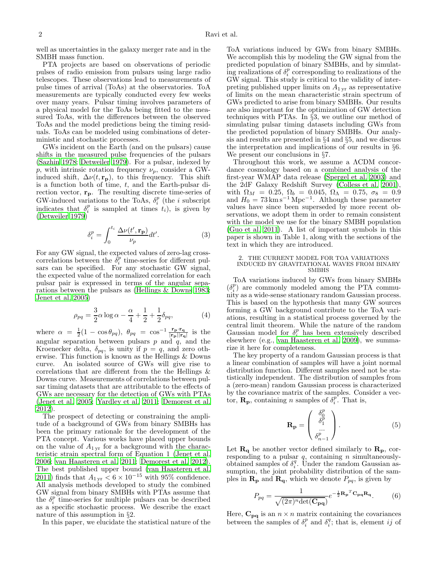well as uncertainties in the galaxy merger rate and in the SMBH mass function.

PTA projects are based on observations of periodic pulses of radio emission from pulsars using large radio telescopes. These observations lead to measurements of pulse times of arrival (ToAs) at the observatories. ToA measurements are typically conducted every few weeks over many years. Pulsar timing involves parameters of a physical model for the ToAs being fitted to the measured ToAs, with the differences between the observed ToAs and the model predictions being the timing residuals. ToAs can be modeled using combinations of deterministic and stochastic processes.

GWs incident on the Earth (and on the pulsars) cause shifts in the measured pulse frequencies of the pulsars [\(Sazhin 1978;](#page-13-5) [Detweiler 1979](#page-12-4)). For a pulsar, indexed by p, with intrinsic rotation frequency  $\nu_p$ , consider a GWinduced shift,  $\Delta \nu(t, \mathbf{r}_p)$ , to this frequency. This shift is a function both of time,  $t$ , and the Earth-pulsar direction vector,  $\mathbf{r}_{\mathbf{p}}$ . The resulting discrete time-series of GW-induced variations to the ToAs,  $\delta_i^p$  (the *i* subscript indicates that  $\delta_i^p$  is sampled at times  $t_i$ ), is given by [\(Detweiler 1979\)](#page-12-4)

$$
\delta_i^p = \int_0^{t_i} \frac{\Delta \nu(t', \mathbf{r_p})}{\nu_p} dt'.
$$
 (3)

For any GW signal, the expected values of zero-lag crosscorrelations between the  $\delta_i^p$  time-series for different pulsars can be specified. For any stochastic GW signal, the expected value of the normalized correlation for each pulsar pair is expressed in terms of the angular separations between the pulsars as [\(Hellings & Downs 1983;](#page-12-0) [Jenet et al. 2005\)](#page-13-6)

$$
\rho_{pq} = \frac{3}{2}\alpha \log \alpha - \frac{\alpha}{4} + \frac{1}{2} + \frac{1}{2}\delta_{pq},\tag{4}
$$

where  $\alpha = \frac{1}{2}(1 - \cos \theta_{pq}), \ \theta_{pq} = \cos^{-1} \frac{\mathbf{r_p} \cdot \mathbf{r_q}}{|\mathbf{r_p}||\mathbf{r_q}|}$  is the angular separation between pulsars  $p$  and  $q$ , and the Kroenecker delta,  $\delta_{pq}$ , is unity if  $p = q$ , and zero otherwise. This function is known as the Hellings & Downs curve. An isolated source of GWs will give rise to correlations that are different from the the Hellings & Downs curve. Measurements of correlations between pulsar timing datasets that are attributable to the effects of GWs are necessary for the detection of GWs with PTAs [\(Jenet et al. 2005;](#page-13-6) [Yardley et al. 2011;](#page-13-7) [Demorest et al.](#page-12-5) [2012\)](#page-12-5).

The prospect of detecting or constraining the amplitude of a background of GWs from binary SMBHs has been the primary rationale for the development of the PTA concept. Various works have placed upper bounds on the value of  $A_{1 \text{ yr}}$  for a background with the characteristic strain spectral form of Equation 1 [\(Jenet et al.](#page-13-8) [2006;](#page-13-8) [van Haasteren et al. 2011;](#page-13-9) [Demorest et al. 2012\)](#page-12-5). The best published upper bound [\(van Haasteren et al.](#page-13-9) [2011\)](#page-13-9) finds that  $A_{1,\text{yr}} < 6 \times 10^{-15}$  with 95% confidence.<br>All analysis methods developed to study the combined GW signal from binary SMBHs with PTAs assume that the  $\delta_i^p$  time-series for multiple pulsars can be described as a specific stochastic process. We describe the exact nature of this assumption in §2.

In this paper, we elucidate the statistical nature of the

ToA variations induced by GWs from binary SMBHs. We accomplish this by modeling the GW signal from the predicted population of binary SMBHs, and by simulating realizations of  $\delta_i^p$  corresponding to realizations of the GW signal. This study is critical to the validity of interpreting published upper limits on  $A_{1,\text{yr}}$  as representative of limits on the mean characteristic strain spectrum of GWs predicted to arise from binary SMBHs. Our results are also important for the optimization of GW detection techniques with PTAs. In §3, we outline our method of simulating pulsar timing datasets including GWs from the predicted population of binary SMBHs. Our analysis and results are presented in §4 and §5, and we discuss the interpretation and implications of our results in §6. We present our conclusions in §7.

Throughout this work, we assume a ΛCDM concordance cosmology based on a combined analysis of the first-year WMAP data release [\(Spergel et al. 2003](#page-13-10)) and the 2dF Galaxy Redshift Survey [\(Colless et al. 2001](#page-12-6)), with  $\Omega_M = 0.25, \ \Omega_b = 0.045, \ \Omega_\Lambda = 0.75, \ \sigma_8 = 0.9$ and  $H_0 = 73 \,\mathrm{km \, s^{-1} \, Mpc^{-1}}$ . Although these parameter values have since been superseded by more recent observations, we adopt them in order to remain consistent with the model we use for the binary SMBH population [\(Guo et al. 2011\)](#page-12-7). A list of important symbols in this paper is shown in Table 1, along with the sections of the text in which they are introduced.

#### 2. THE CURRENT MODEL FOR TOA VARIATIONS INDUCED BY GRAVITATIONAL WAVES FROM BINARY SMBHS

ToA variations induced by GWs from binary SMBHs  $(\delta_i^p)$  are commonly modeled among the PTA community as a wide-sense stationary random Gaussian process. This is based on the hypothesis that many GW sources forming a GW background contribute to the ToA variations, resulting in a statistical process governed by the central limit theorem. While the nature of the random Gaussian model for  $\delta_i^p$  has been extensively described elsewhere (e.g., [van Haasteren et al. 2009\)](#page-13-11), we summarize it here for completeness.

The key property of a random Gaussian process is that a linear combination of samples will have a joint normal distribution function. Different samples need not be statistically independent. The distribution of samples from a (zero-mean) random Gaussian process is characterized by the covariance matrix of the samples. Consider a vector,  $\mathbf{R}_{\mathbf{p}}$ , containing *n* samples of  $\delta_i^p$ . That is,

$$
\mathbf{R}_{\mathbf{p}} = \begin{pmatrix} \delta_0^p \\ \delta_1^p \\ \vdots \\ \delta_{n-1}^p \end{pmatrix} . \tag{5}
$$

Let  $\mathbf{R}_{q}$  be another vector defined similarly to  $\mathbf{R}_{p}$ , corresponding to a pulsar  $q$ , containing  $n$  simultaneouslyobtained samples of  $\delta_i^q$ . Under the random Gaussian assumption, the joint probability distribution of the samples in  $\mathbf{R}_{\mathbf{p}}$  and  $\mathbf{R}_{\mathbf{q}}$ , which we denote  $P_{pq}$ , is given by

$$
P_{pq} = \frac{1}{\sqrt{(2\pi)^n \det(\mathbf{C}_{pq})}} e^{-\frac{1}{2} \mathbf{R_p}^T \mathbf{C}_{pq} \mathbf{R_q}}.
$$
 (6)

Here,  $\mathbf{C}_{pq}$  is an  $n \times n$  matrix containing the covariances between the samples of  $\delta_i^p$  and  $\delta_i^q$ ; that is, element *ij* of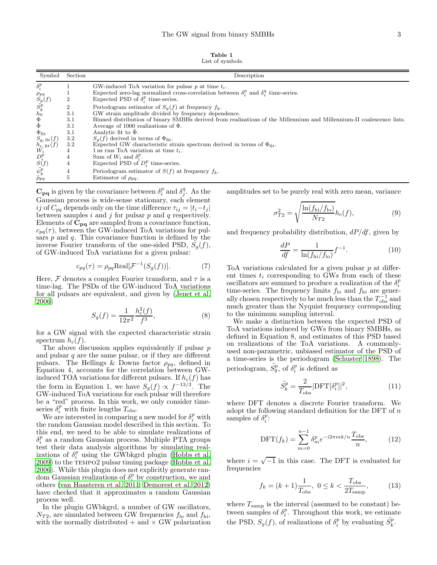Table 1 List of symbols.

| Symbol                                                                                                                                            | Section          | Description                                                                                                          |
|---------------------------------------------------------------------------------------------------------------------------------------------------|------------------|----------------------------------------------------------------------------------------------------------------------|
| $\delta_i^p$                                                                                                                                      |                  | GW-induced ToA variation for pulsar $p$ at time $t_i$ .                                                              |
|                                                                                                                                                   |                  | Expected zero-lag normalized cross-correlation between $\delta_i^p$ and $\delta_i^q$ time-series.                    |
| $\rho_{pq} \ S_g(f) \ \tilde{S_k^p} \ h_0 \ \Phi \bar{\Phi}$                                                                                      | 2                | Expected PSD of $\delta_i^p$ time-series.                                                                            |
|                                                                                                                                                   | $\boldsymbol{2}$ | Periodogram estimator of $S_g(f)$ at frequency $f_k$ .                                                               |
|                                                                                                                                                   | 3.1              | GW strain amplitude divided by frequency dependence.                                                                 |
|                                                                                                                                                   | 3.1              | Binned distribution of binary SMBHs derived from realizations of the Millennium and Millennium-II coalescence lists. |
|                                                                                                                                                   | 3.1              | Average of 1000 realizations of $\Phi$ .                                                                             |
| $\Phi_{\text{fit}}$                                                                                                                               | 3.1              | Analytic fit to $\bar{\Phi}$ .                                                                                       |
| $S_{\rm g, fit}(f)$                                                                                                                               | 3.2              | $S_a(f)$ derived in terms of $\Phi_{\text{fit}}$ .                                                                   |
|                                                                                                                                                   | 3.2              | Expected GW characteristic strain spectrum derived in terms of $\Phi_{\text{fit}}$ .                                 |
|                                                                                                                                                   | 4                | 1 ns rms ToA variation at time $t_i$ .                                                                               |
|                                                                                                                                                   | 4                | Sum of $W_i$ and $\delta_i^p$ .                                                                                      |
| $h_{\mathrm{c, \, fit}}^{k, \, \mathrm{nc}, \, \mathrm{ft}}(f) \newline D_i^p \newline S(f) \newline \tilde{\psi}_k^p \newline \tilde{\rho}_{pq}$ | 4                | Expected PSD of $D_i^p$ time-series.                                                                                 |
|                                                                                                                                                   | 4                | Periodogram estimator of $S(f)$ at frequency $f_k$ .                                                                 |
|                                                                                                                                                   | $\overline{5}$   | Estimator of $\rho_{pq}$ .                                                                                           |

 $\mathbf{C}_{\mathbf{p}\mathbf{q}}$  is given by the covariance between  $\delta_i^p$  and  $\delta_j^q$ . As the Gaussian process is wide-sense stationary, each element ij of  $C_{pq}$  depends only on the time difference  $\tau_{ij} = |t_i - t_j|$ between samples  $i$  and  $j$  for pulsar  $p$  and  $q$  respectively. Elements of  $C_{pq}$  are sampled from a covariance function,  $c_{pq}(\tau)$ , between the GW-induced ToA variations for pulsars  $p$  and  $q$ . This covariance function is defined by the inverse Fourier transform of the one-sided PSD,  $S_a(f)$ , of GW-induced ToA variations for a given pulsar:

$$
c_{pq}(\tau) = \rho_{pq} \text{Real}[\mathcal{F}^{-1}(S_g(f))]. \tag{7}
$$

Here,  $\mathcal F$  denotes a complex Fourier transform, and  $\tau$  is a time-lag. The PSDs of the GW-induced ToA variations for all pulsars are equivalent, and given by [\(Jenet et al.](#page-13-8) [2006\)](#page-13-8)

$$
S_g(f) = \frac{1}{12\pi^2} \frac{h_c^2(f)}{f^3},\tag{8}
$$

for a GW signal with the expected characteristic strain spectrum  $h_c(f)$ .

The above discussion applies equivalently if pulsar  $p$ and pulsar  $q$  are the same pulsar, or if they are different pulsars. The Hellings & Downs factor  $\rho_{pq}$ , defined in Equation 4, accounts for the correlation between GWinduced TOA variations for different pulsars. If  $h_c(f)$  has the form in Equation 1, we have  $S_g(f) \propto f^{-13/3}$ . The GW-induced ToA variations for each pulsar will therefore be a "red" process. In this work, we only consider timeseries  $\delta_i^p$  with finite lengths  $T_{\text{obs}}$ .

We are interested in comparing a new model for  $\delta_i^p$  with the random Gaussian model described in this section. To this end, we need to be able to simulate realizations of  $\delta^p_i$ as a random Gaussian process. Multiple PTA groups test their data analysis algorithms by simulating realizations of  $\delta_i^p$  using the GWbkgrd plugin [\(Hobbs et al.](#page-13-12)  $2009$ ) to the TEMPO2 pulsar timing package [\(Hobbs et al.](#page-12-8) [2006\)](#page-12-8). While this plugin does not explicitly generate random Gaussian realizations of  $\delta_i^p$  by construction, we and others [\(van Haasteren et al. 2011](#page-13-9); [Demorest et al. 2012](#page-12-5)) have checked that it approximates a random Gaussian process well.

In the plugin GWbkgrd, a number of GW oscillators,  $N_{T2}$ , are simulated between GW frequencies  $f_{\text{lo}}$  and  $f_{\text{hi}}$ , with the normally distributed  $+$  and  $\times$  GW polarization amplitudes set to be purely real with zero mean, variance

$$
\sigma_{T2}^2 = \sqrt{\frac{\ln(f_{\rm hi}/f_{\rm lo})}{N_{T2}}} h_c(f), \tag{9}
$$

and frequency probability distribution,  $dP/df$ , given by

$$
\frac{dP}{df} = \frac{1}{\ln(f_{\rm hi}/f_{\rm lo})} f^{-1}.
$$
\n(10)

ToA variations calculated for a given pulsar  $p$  at different times  $t_i$  corresponding to GWs from each of these oscillators are summed to produce a realization of the  $\delta_i^p$ time-series. The frequency limits  $f_{\text{lo}}$  and  $f_{\text{hi}}$  are generally chosen respectively to be much less than the  $T_{\text{obs}}^{-1}$  and much greater than the Nyquist frequency corresponding to the minimum sampling interval.

We make a distinction between the expected PSD of ToA variations induced by GWs from binary SMBHs, as defined in Equation 8, and estimates of this PSD based on realizations of the ToA variations. A commonlyused non-parametric, unbiased estimator of the PSD of a time-series is the periodogram [\(Schuster 1898\)](#page-13-13). The periodogram,  $\tilde{S_g^p}$ , of  $\delta_i^p$  is defined as

$$
\tilde{S}_k^p = \frac{2}{T_{\text{obs}}} |\text{DFT}[\delta_i^p]|^2,\tag{11}
$$

where DFT denotes a discrete Fourier transform. We adopt the following standard definition for the DFT of  $n$ samples of  $\delta_i^p$ :

$$
\text{DFT}(f_k) = \sum_{m=0}^{n-1} \delta_m^p e^{-i2\pi mk/n} \frac{T_{\text{obs}}}{n},\tag{12}
$$

where  $i = \sqrt{-1}$  in this case. The DFT is evaluated for frequencies

$$
f_k = (k+1)\frac{1}{T_{\text{obs}}}, \ 0 \le k < \frac{T_{\text{obs}}}{2T_{\text{ samp}}},\tag{13}
$$

where  $T_{\text{samp}}$  is the interval (assumed to be constant) between samples of  $\delta_i^p$ . Throughout this work, we estimate the PSD,  $S_g(f)$ , of realizations of  $\delta_i^p$  by evaluating  $\tilde{S}_k^p$ .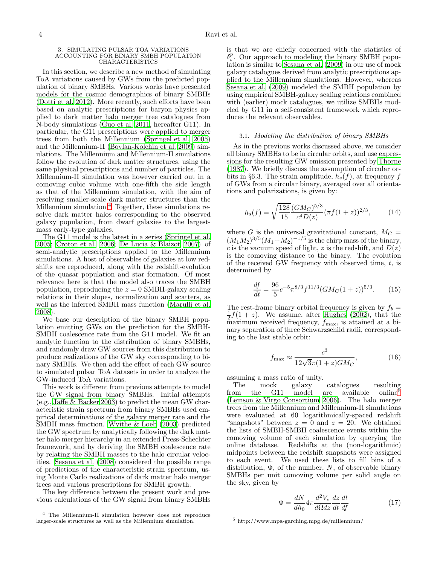#### 3. SIMULATING PULSAR TOA VARIATIONS ACCOUNTING FOR BINARY SMBH POPULATION CHARACTERISTICS

In this section, we describe a new method of simulating ToA variations caused by GWs from the predicted population of binary SMBHs. Various works have presented models for the cosmic demographics of binary SMBHs [\(Dotti et al. 2012\)](#page-12-9). More recently, such efforts have been based on analytic prescriptions for baryon physics applied to dark matter halo merger tree catalogues from N-body simulations [\(Guo et al. 2011,](#page-12-7) hereafter G11). In particular, the G11 prescriptions were applied to merger trees from both the Millennium [\(Springel et al. 2005](#page-13-14)) and the Millennium-II [\(Boylan-Kolchin et al. 2009\)](#page-12-10) simulations. The Millennium and Millennium-II simulations follow the evolution of dark matter structures, using the same physical prescriptions and number of particles. The Millennium-II simulation was however carried out in a comoving cubic volume with one-fifth the side length as that of the Millennium simulation, with the aim of resolving smaller-scale dark matter structures than the Millennium simulation.<sup>[4](#page-3-0)</sup> Together, these simulations resolve dark matter halos corresponding to the observed galaxy population, from dwarf galaxies to the largestmass early-type galaxies.

The G11 model is the latest in a series [\(Springel et al.](#page-13-14) [2005;](#page-13-14) [Croton et al. 2006;](#page-12-11) [De Lucia & Blaizot 2007\)](#page-12-12) of semi-analytic prescriptions applied to the Millennium simulations. A host of observables of galaxies at low redshifts are reproduced, along with the redshift-evolution of the quasar population and star formation. Of most relevance here is that the model also traces the SMBH population, reproducing the  $z = 0$  SMBH-galaxy scaling relations in their slopes, normalization and scatters, as well as the inferred SMBH mass function [\(Marulli et al.](#page-13-15) [2008\)](#page-13-15).

We base our description of the binary SMBH population emitting GWs on the prediction for the SMBH-SMBH coalescence rate from the G11 model. We fit an analytic function to the distribution of binary SMBHs, and randomly draw GW sources from this distribution to produce realizations of the GW sky corresponding to binary SMBHs. We then add the effect of each GW source to simulated pulsar ToA datasets in order to analyze the GW-induced ToA variations.

This work is different from previous attempts to model the GW signal from binary SMBHs. Initial attempts (e.g., [Jaffe & Backer 2003](#page-13-1)) to predict the mean GW characteristic strain spectrum from binary SMBHs used empirical determinations of the galaxy merger rate and the SMBH mass function. [Wyithe & Loeb \(2003](#page-13-2)) predicted the GW spectrum by analytically following the dark matter halo merger hierarchy in an extended Press-Schechter framework, and by deriving the SMBH coalescence rate by relating the SMBH masses to the halo circular velocities. [Sesana et al. \(2008](#page-13-3)) considered the possible range of predictions of the characteristic strain spectrum, using Monte Carlo realizations of dark matter halo merger trees and various prescriptions for SMBH growth.

The key difference between the present work and previous calculations of the GW signal from binary SMBHs is that we are chiefly concerned with the statistics of  $\delta_i^p$ . Our approach to modeling the binary SMBH population is similar to [Sesana et al. \(2009](#page-13-16)) in our use of mock galaxy catalogues derived from analytic prescriptions applied to the Millennium simulations. However, whereas [Sesana et al. \(2009\)](#page-13-16) modeled the SMBH population by using empirical SMBH-galaxy scaling relations combined with (earlier) mock catalogues, we utilize SMBHs modeled by G11 in a self-consistent framework which reproduces the relevant observables.

### 3.1. Modeling the distribution of binary SMBHs

As in the previous works discussed above, we consider all binary SMBHs to be in circular orbits, and use expressions for the resulting GW emission presented by [Thorne](#page-13-17) [\(1987\)](#page-13-17). We briefly discuss the assumption of circular orbits in §6.3. The strain amplitude,  $h_s(f)$ , at frequency f of GWs from a circular binary, averaged over all orientations and polarizations, is given by:

$$
h_s(f) = \sqrt{\frac{128}{15}} \frac{(GM_C)^{5/3}}{c^4 D(z)} (\pi f(1+z))^{2/3},\tag{14}
$$

where G is the universal gravitational constant,  $M_C =$  $(M_1M_2)^{3/5}(M_1+M_2)^{-1/5}$  is the chirp mass of the binary, c is the vacuum speed of light, z is the redshift, and  $D(z)$ is the comoving distance to the binary. The evolution of the received GW frequency with observed time,  $t$ , is determined by

$$
\frac{df}{dt} = \frac{96}{5}c^{-5}\pi^{8/3}f^{11/3}(GM_C(1+z))^{5/3}.
$$
 (15)

The rest-frame binary orbital frequency is given by  $f_b =$  $\frac{1}{2}f(1+z)$ . We assume, after [Hughes \(2002\)](#page-13-18), that the maximum received frequency,  $f_{\text{max}}$ , is attained at a binary separation of three Schwarzschild radii, corresponding to the last stable orbit:

$$
f_{\text{max}} \approx \frac{c^3}{12\sqrt{3}\pi (1+z)GM_C},\tag{16}
$$

assuming a mass ratio of unity.

The mock galaxy catalogues resulting from the G11 model are available online<sup>[5](#page-3-1)</sup> [\(Lemson & Virgo Consortium 2006](#page-13-19)). The halo merger trees from the Millennium and Millennium-II simulations were evaluated at 60 logarithmically-spaced redshift "snapshots" between  $z = 0$  and  $z = 20$ . We obtained the lists of SMBH-SMBH coalescence events within the comoving volume of each simulation by querying the online database. Redshifts at the (non-logarithmic) midpoints between the redshift snapshots were assigned to each event. We used these lists to fill bins of a distribution,  $\Phi$ , of the number, N, of observable binary SMBHs per unit comoving volume per solid angle on the sky, given by

$$
\Phi = \frac{dN}{dh_0} 4\pi \frac{d^2 V_c}{d\Omega dz} \frac{dz}{dt} \frac{dt}{df}
$$
\n(17)

<span id="page-3-1"></span><sup>5</sup> http://www.mpa-garching.mpg.de/millennium/

<span id="page-3-0"></span><sup>4</sup> The Millennium-II simulation however does not reproduce larger-scale structures as well as the Millennium simulation.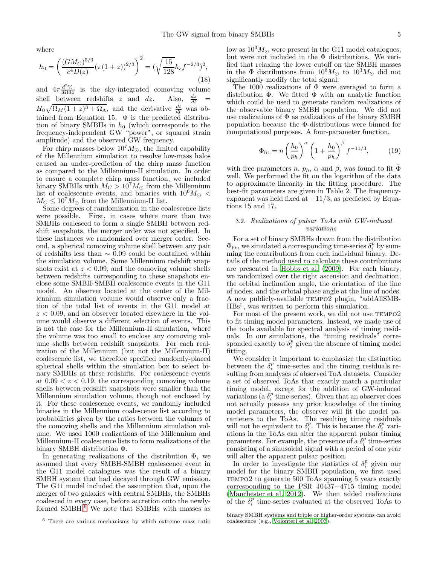where

$$
h_0 = \left(\frac{(GM_C)^{5/3}}{c^4 D(z)} (\pi (1+z))^{2/3}\right)^2 = (\sqrt{\frac{15}{128}} h_s f^{-2/3})^2,
$$
\n(18)

and  $4\pi \frac{d^2 V_c}{d\Omega dz}$  is the sky-integrated comoving volume shell between redshifts z and dz. Also,  $\frac{dz}{dt}$  =  $H_0\sqrt{\Omega_M(1+z)^3+\Omega_\Lambda}$ , and the derivative  $\frac{dt}{df}$  was obtained from Equation 15.  $\Phi$  is the predicted distribution of binary SMBHs in  $h_0$  (which corresponds to the frequency-independent GW "power", or squared strain amplitude) and the observed GW frequency.

For chirp masses below  $10^7 M_{\odot}$ , the limited capability of the Millennium simulation to resolve low-mass halos caused an under-prediction of the chirp mass function as compared to the Millennium-II simulation. In order to ensure a complete chirp mass function, we included binary SMBHs with  $M_C > 10^7 M_{\odot}$  from the Millennium list of coalescence events, and binaries with  $10^6 M_{\odot}$  <  $M_C \leq 10^{7} M_{\odot}$  from the Millennium-II list.

Some degrees of randomization in the coalescence lists were possible. First, in cases where more than two SMBHs coalesced to form a single SMBH between redshift snapshots, the merger order was not specified. In these instances we randomized over merger order. Second, a spherical comoving volume shell between any pair of redshifts less than ∼ 0.09 could be contained within the simulation volume. Some Millennium redshift snapshots exist at  $z < 0.09$ , and the comoving volume shells between redshifts corresponding to these snapshots enclose some SMBH-SMBH coalescence events in the G11 model. An observer located at the center of the Millennium simulation volume would observe only a fraction of the total list of events in the G11 model at  $z < 0.09$ , and an observer located elsewhere in the volume would observe a different selection of events. This is not the case for the Millennium-II simulation, where the volume was too small to enclose any comoving volume shells between redshift snapshots. For each realization of the Millennium (but not the Millennium-II) coalescence list, we therefore specified randomly-placed spherical shells within the simulation box to select binary SMBHs at these redshifts. For coalescence events at  $0.09 < z < 0.19$ , the corresponding comoving volume shells between redshift snapshots were smaller than the Millennium simulation volume, though not enclosed by it. For these coalescence events, we randomly included binaries in the Millennium coalescence list according to probabilities given by the ratios between the volumes of the comoving shells and the Millennium simulation volume. We used 1000 realizations of the Millennium and Millennium-II coalescence lists to form realizations of the binary SMBH distribution Φ.

In generating realizations of the distribution  $\Phi$ , we assumed that every SMBH-SMBH coalescence event in the G11 model catalogues was the result of a binary SMBH system that had decayed through GW emission. The G11 model included the assumption that, upon the merger of two galaxies with central SMBHs, the SMBHs coalesced in every case, before accretion onto the newly-formed SMBH.<sup>[6](#page-4-0)</sup> We note that SMBHs with masses as

low as  $10^3 M_{\odot}$  were present in the G11 model catalogues, but were not included in the Φ distributions. We verified that relaxing the lower cutoff on the SMBH masses in the  $\Phi$  distributions from  $10^6 M_{\odot}$  to  $10^3 M_{\odot}$  did not significantly modify the total signal.

The 1000 realizations of  $\Phi$  were averaged to form a distribution  $\overline{\Phi}$ . We fitted  $\overline{\Phi}$  with an analytic function which could be used to generate random realizations of the observable binary SMBH population. We did not use realizations of  $\Phi$  as realizations of the binary SMBH population because the Φ-distributions were binned for computational purposes. A four-parameter function,

$$
\Phi_{\text{fit}} = n \left(\frac{h_0}{p_h}\right)^{\alpha} \left(1 + \frac{h_0}{p_h}\right)^{\beta} f^{-11/3},\tag{19}
$$

with free parameters n,  $p_h$ ,  $\alpha$  and  $\beta$ , was found to fit  $\bar{\Phi}$ well. We performed the fit on the logarithm of the data to approximate linearity in the fitting procedure. The best-fit parameters are given in Table 2. The frequencyexponent was held fixed at  $-11/3$ , as predicted by Equations 15 and 17.

## 3.2. Realizations of pulsar ToAs with GW-induced variations

For a set of binary SMBHs drawn from the distribution  $\Phi_{\text{fit}}$ , we simulated a corresponding time-series  $\delta_i^p$  by summing the contributions from each individual binary. Details of the method used to calculate these contributions are presented in [Hobbs et al. \(2009](#page-13-12)). For each binary, we randomized over the right ascension and declination, the orbital inclination angle, the orientation of the line of nodes, and the orbital phase angle at the line of nodes. A new publicly-available tempo2 plugin, "addAllSMB-HBs", was written to perform this simulation.

For most of the present work, we did not use TEMPO2 to fit timing model parameters. Instead, we made use of the tools available for spectral analysis of timing residuals. In our simulations, the "timing residuals" corresponded exactly to  $\delta_i^p$  given the absence of timing model fitting.

We consider it important to emphasize the distinction between the  $\delta_i^p$  time-series and the timing residuals resulting from analyses of observed ToA datasets. Consider a set of observed ToAs that exactly match a particular timing model, except for the addition of GW-induced variations (a  $\delta_i^p$  time-series). Given that an observer does not actually possess any prior knowledge of the timing model parameters, the observer will fit the model parameters to the ToAs. The resulting timing residuals will not be equivalent to  $\delta_i^p$ . This is because the  $\delta_i^p$  variations in the ToAs can alter the apparent pulsar timing parameters. For example, the presence of a  $\delta_i^p$  time-series consisting of a sinusoidal signal with a period of one year will alter the apparent pulsar position.

In order to investigate the statistics of  $\delta_i^p$  given our model for the binary SMBH population, we first used TEMPO2 to generate 500 ToAs spanning 5 years exactly corresponding to the PSR J0437−4715 timing model [\(Manchester et al. 2012\)](#page-13-20). We then added realizations of the  $\delta_i^p$  time-series evaluated at the observed ToAs to

<span id="page-4-0"></span><sup>6</sup> There are various mechanisms by which extreme mass ratio

binary SMBH systems and triple or higher-order systems can avoid coalescence (e.g., [Volonteri et al. 2003](#page-13-21)).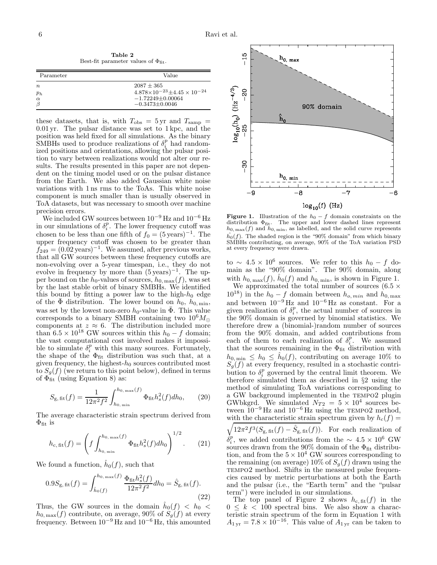Table 2 Best-fit parameter values of  $\Phi_\text{fit}.$ 

| Parameter        | Value                                          |
|------------------|------------------------------------------------|
| $\boldsymbol{n}$ | $2087 + 365$                                   |
| $p_h$            | $4.878 \times 10^{-23} + 4.45 \times 10^{-24}$ |
| $\alpha$         | $-1.72249 \pm 0.00064$                         |
| B                | $-0.3473\pm0.0046$                             |

these datasets, that is, with  $T_{\text{obs}} = 5 \text{ yr}$  and  $T_{\text{samp}} =$ 0.01 yr. The pulsar distance was set to 1 kpc, and the position was held fixed for all simulations. As the binary SMBHs used to produce realizations of  $\delta_i^p$  had randomized positions and orientations, allowing the pulsar position to vary between realizations would not alter our results. The results presented in this paper are not dependent on the timing model used or on the pulsar distance from the Earth. We also added Gaussian white noise variations with 1 ns rms to the ToAs. This white noise component is much smaller than is usually observed in ToA datasets, but was necessary to smooth over machine precision errors.

We included GW sources between  $10^{-9}$  Hz and  $10^{-6}$  Hz in our simulations of  $\delta_i^p$ . The lower frequency cutoff was chosen to be less than one fifth of  $f_0 = (5 \text{ years})^{-1}$ . The upper frequency cutoff was chosen to be greater than  $f_{249} = (0.02 \,\text{years})^{-1}$ . We assumed, after previous works, that all GW sources between these frequency cutoffs are non-evolving over a 5-year timespan, i.e., they do not evolve in frequency by more than  $(5 \text{ years})^{-1}$ . The upper bound on the  $h_0$ -values of sources,  $h_{0, \text{max}}(f)$ , was set by the last stable orbit of binary SMBHs. We identified this bound by fitting a power law to the high- $h_0$  edge of the  $\bar{\Phi}$  distribution. The lower bound on  $h_0$ ,  $h_{0,\min}$ , was set by the lowest non-zero  $h_0$ -value in  $\overline{\Phi}$ . This value corresponds to a binary SMBH containing two  $10^6 M_{\odot}$ components at  $z \approx 6$ . The distribution included more than  $6.5 \times 10^{18}$  GW sources within this  $h_0 - f$  domain; the vast computational cost involved makes it impossible to simulate  $\delta_i^p$  with this many sources. Fortunately, the shape of the  $\Phi_{\text{fit}}$  distribution was such that, at a given frequency, the highest- $h_0$  sources contributed most to  $S_q(f)$  (we return to this point below), defined in terms of  $\Phi_{\text{fit}}$  (using Equation 8) as:

$$
S_{\rm g, fit}(f) = \frac{1}{12\pi^2 f^2} \int_{h_{0,\min}}^{h_{0,\max}(f)} \Phi_{\rm fit} h_s^2(f) dh_0, \qquad (20)
$$

The average characteristic strain spectrum derived from  $\Phi_{\text{fit}}$  is

$$
h_{c, \text{fit}}(f) = \left(f \int_{h_{0, \text{min}}}^{h_{0, \text{max}}(f)} \Phi_{\text{fit}} h_s^2(f) dh_0\right)^{1/2}.
$$
 (21)

We found a function,  $\hat{h}_0(f)$ , such that

$$
0.9S_{\mathbf{g},\text{fit}}(f) = \int_{\hat{h}_0(f)}^{h_{0,\text{max}}(f)} \frac{\Phi_{\text{fit}} h_s^2(f)}{12\pi^2 f^2} dh_0 = \hat{S}_{\mathbf{g},\text{fit}}(f). \tag{22}
$$

Thus, the GW sources in the domain  $\hat{h}_0(f) \; < \; h_0 \; < \;$  $h_{0, \text{max}}(f)$  contribute, on average, 90% of  $S_g(f)$  at every frequency. Between  $10^{-9}$  Hz and  $10^{-6}$  Hz, this amounted



**Figure 1.** Illustration of the  $h_0 - f$  domain constraints on the distribution  $\Phi_{\text{fit}}$ . The upper and lower dashed lines represent  $h_{0, \text{max}}(f)$  and  $h_{0, \text{min}}$ , as labelled, and the solid curve represents  $\hat{h_0}(f)$ . The shaded region is the "90% domain" from which binary SMBHs contributing, on average, 90% of the ToA variation PSD at every frequency were drawn.

to ~  $4.5 \times 10^6$  sources. We refer to this  $h_0 - f$  domain as the "90% domain". The 90% domain, along with  $h_{0, \max}(f)$ ,  $\hat{h}_0(f)$  and  $h_{0, \min}$ , is shown in Figure 1.

We approximated the total number of sources  $(6.5 \times$  $10^{18}$ ) in the  $h_0 - f$  domain between  $h_{o, min}$  and  $h_{0, max}$ and between  $10^{-9}$  Hz and  $10^{-6}$  Hz as constant. For a given realization of  $\delta_i^p$ , the actual number of sources in the 90% domain is governed by binomial statistics. We therefore drew a (binomial-)random number of sources from the 90% domain, and added contributions from each of them to each realization of  $\delta_i^p$ . We assumed that the sources remaining in the  $\Phi_{\text{fit}}$  distribution with  $h_{0,\min} \leq h_0 \leq \hat{h}_0(f)$ , contributing on average 10% to  $S_g(f)$  at every frequency, resulted in a stochastic contribution to  $\delta_i^p$  governed by the central limit theorem. We therefore simulated them as described in §2 using the method of simulating ToA variations corresponding to a GW background implemented in the TEMPO2 plugin GWbkgrd. We simulated  $N_{T2} = 5 \times 10^4$  sources between  $10^{-9}$  Hz and  $10^{-6}$  Hz using the TEMPO2 method, with the characteristic strain spectrum given by  $h_c(f) =$ 

 $\sqrt{12\pi^2f^3(S_{\text{g},\text{fit}}(f)-\hat{S}_{\text{g},\text{fit}}(f))}$ . For each realization of  $\delta_i^p$ , we added contributions from the ∼ 4.5 × 10<sup>6</sup> GW  $\sigma_i$ , we added contributions from the  $\sim$  4.5  $\times$  10 GW sources drawn from the 90% domain of the  $\Phi_{\text{fit}}$  distribution, and from the  $5 \times 10^4$  GW sources corresponding to the remaining (on average) 10% of  $S<sub>g</sub>(f)$  drawn using the TEMPO2 method. Shifts in the measured pulse frequencies caused by metric perturbations at both the Earth and the pulsar (i.e., the "Earth term" and the "pulsar term") were included in our simulations.

The top panel of Figure 2 shows  $h_{c, fit}(f)$  in the  $0 \leq k < 100$  spectral bins. We also show a characteristic strain spectrum of the form in Equation 1 with  $A_{1 \text{ yr}} = 7.8 \times 10^{-16}$ . This value of  $A_{1 \text{ yr}}$  can be taken to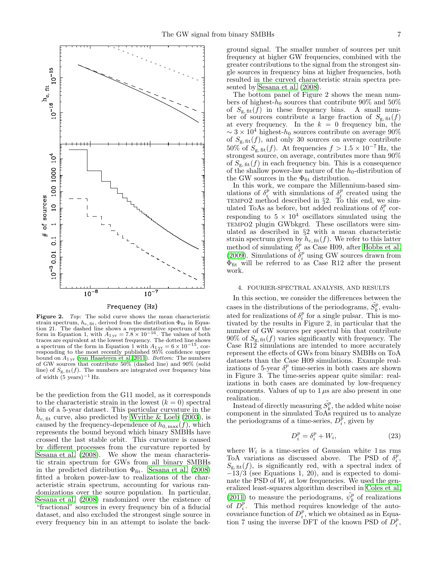

Figure 2. Top: The solid curve shows the mean characteristic strain spectrum,  $h_{c, fit}$ , derived from the distribution  $\Phi_{fit}$  in Equation 21. The dashed line shows a representative spectrum of the form in Equation 1, with  $A_{1 yr} = 7.8 \times 10^{-16}$ . The values of both traces are equivalent at the lowest frequency. The dotted line shows a spectrum of the form in Equation 1 with  $A_{1 \text{ yr}} = 6 \times 10^{-15}$ , corresponding to the most recently published 95% confidence upper bound on  $A_{1 \text{ yr}}$  [\(van Haasteren et al. 2011](#page-13-9)). *Bottom:* The numbers of GW sources that contribute 50% (dashed line) and 90% (solid line) of  $S_{\rm g, fit}(f)$ . The numbers are integrated over frequency bins of width  $(5 \text{ years})^{-1}$  Hz.

be the prediction from the G11 model, as it corresponds to the characteristic strain in the lowest  $(k = 0)$  spectral bin of a 5-year dataset. This particular curvature in the  $h_{\rm c, fit}$  curve, also predicted by [Wyithe & Loeb \(2003](#page-13-2)), is caused by the frequency-dependence of  $h_{0,\text{max}}(f)$ , which represents the bound beyond which binary SMBHs have crossed the last stable orbit. This curvature is caused by different processes from the curvature reported by [Sesana et al. \(2008\)](#page-13-3). We show the mean characteristic strain spectrum for GWs from all binary SMBHs in the predicted distribution  $\Phi_{\text{fit}}$ . [Sesana et al. \(2008](#page-13-3)) fitted a broken power-law to realizations of the characteristic strain spectrum, accounting for various randomizations over the source population. In particular, [Sesana et al. \(2008\)](#page-13-3) randomized over the existence of "fractional" sources in every frequency bin of a fiducial dataset, and also excluded the strongest single source in every frequency bin in an attempt to isolate the back-

ground signal. The smaller number of sources per unit frequency at higher GW frequencies, combined with the greater contributions to the signal from the strongest single sources in frequency bins at higher frequencies, both resulted in the curved characteristic strain spectra presented by [Sesana et al. \(2008](#page-13-3)).

The bottom panel of Figure 2 shows the mean numbers of highest- $h_0$  sources that contribute 90% and 50% of  $S_{\text{g},\text{fit}}(f)$  in these frequency bins. A small number of sources contribute a large fraction of  $S_{g, fit}(f)$ at every frequency. In the  $k = 0$  frequency bin, the  $\sim 3 \times 10^4$  highest- $h_0$  sources contribute on average 90% of  $S_{\text{g, fit}}(f)$ , and only 30 sources on average contribute 50% of  $S_{\text{g, fit}}(f)$ . At frequencies  $f > 1.5 \times 10^{-7}$  Hz, the strongest source, on average, contributes more than 90% of  $S_{\rm g, fit}(f)$  in each frequency bin. This is a consequence of the shallow power-law nature of the  $h_0$ -distribution of the GW sources in the  $\Phi_{\text{fit}}$  distribution.

In this work, we compare the Millennium-based simulations of  $\delta_i^p$  with simulations of  $\delta_i^p$  created using the TEMPO2 method described in §2. To this end, we simulated ToAs as before, but added realizations of  $\delta_i^p$  corresponding to  $5 \times 10^4$  oscillators simulated using the TEMPO2 plugin GWbkgrd. These oscillators were simulated as described in §2 with a mean characteristic strain spectrum given by  $h_{c, fit}(f)$ . We refer to this latter method of simulating  $\delta_i^{\bar{p}}$  as Case H09, after [Hobbs et al.](#page-13-12) [\(2009\)](#page-13-12). Simulations of  $\delta_i^p$  using GW sources drawn from  $\Phi_{\text{fit}}$  will be referred to as Case R12 after the present work.

#### 4. FOURIER-SPECTRAL ANALYSIS, AND RESULTS

In this section, we consider the differences between the cases in the distributions of the periodograms,  $\tilde{S}_k^p$ , evaluated for realizations of  $\delta_i^p$  for a single pulsar. This is motivated by the results in Figure 2, in particular that the number of GW sources per spectral bin that contribute 90% of  $S_{\rm g, fit}(f)$  varies significantly with frequency. The Case R12 simulations are intended to more accurately represent the effects of GWs from binary SMBHs on ToA datasets than the Case H09 simulations. Example realizations of 5-year  $\delta_i^p$  time-series in both cases are shown in Figure 3. The time-series appear quite similar: realizations in both cases are dominated by low-frequency components. Values of up to  $1 \mu s$  are also present in one realization.

Instead of directly measuring  $\tilde{S}_k^p$ , the added white noise component in the simulated ToAs required us to analyze the periodograms of a time-series,  $D_i^{\dot{p}}$ , given by

$$
D_i^p = \delta_i^p + W_i,\tag{23}
$$

where  $W_i$  is a time-series of Gaussian white 1 ns rms ToA variations as discussed above. The PSD of  $\delta_i^p$ ,  $S_{\rm g, fit}(f)$ , is significantly red, with a spectral index of  $-\tilde{1}3/\tilde{3}$  (see Equations 1, 20), and is expected to dominate the PSD of  $W_i$  at low frequencies. We used the generalized least-squares algorithm described in [Coles et al.](#page-12-13) [\(2011\)](#page-12-13) to measure the periodograms,  $\tilde{\psi}^p_k$  of realizations of  $D_i^{\hat{p}}$ . This method requires knowledge of the autocovariance function of  $D_i^p$ , which we obtained as in Equation 7 using the inverse DFT of the known PSD of  $D_i^p$ ,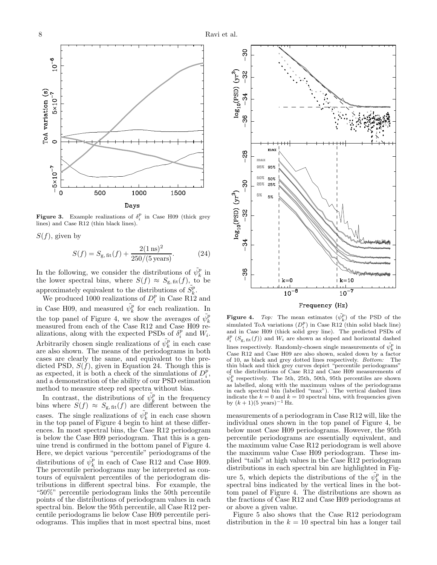

**Figure 3.** Example realizations of  $\delta_i^p$  in Case H09 (thick grey lines) and Case R12 (thin black lines).

 $S(f)$ , given by

$$
S(f) = S_{\rm g, fit}(f) + \frac{2(1\,\text{ns})^2}{250/(5\,\text{years})}.\tag{24}
$$

In the following, we consider the distributions of  $\tilde{\psi}_k^p$  in the lower spectral bins, where  $S(f) \approx S_{g, \text{fit}}(f)$ , to be approximately equivalent to the distributions of  $\tilde{S}_k^p$ .

We produced 1000 realizations of  $D_i^p$  in Case R12 and in Case H09, and measured  $\tilde{\psi}_k^p$  for each realization. In the top panel of Figure 4, we show the averages of  $\tilde{\psi}_k^p$ measured from each of the Case R12 and Case H09 realizations, along with the expected PSDs of  $\delta_i^p$  and  $W_i$ . Arbitrarily chosen single realizations of  $\tilde{\psi}_k^p$  in each case are also shown. The means of the periodograms in both cases are clearly the same, and equivalent to the predicted PSD,  $S(f)$ , given in Equation 24. Though this is as expected, it is both a check of the simulations of  $D_i^p$ , and a demonstration of the ability of our PSD estimation method to measure steep red spectra without bias.

In contrast, the distributions of  $\tilde{\psi}_k^p$  in the frequency bins where  $S(f) \approx S_{\text{g, fit}}(f)$  are different between the cases. The single realizations of  $\tilde{\psi}_k^p$  in each case shown in the top panel of Figure 4 begin to hint at these differences. In most spectral bins, the Case R12 periodogram is below the Case H09 periodogram. That this is a genuine trend is confirmed in the bottom panel of Figure 4. Here, we depict various "percentile" periodograms of the distributions of  $\tilde{\psi}_k^p$  in each of Case R12 and Case H09. The percentile periodograms may be interpreted as contours of equivalent percentiles of the periodogram distributions in different spectral bins. For example, the "50%" percentile periodogram links the 50th percentile points of the distributions of periodogram values in each spectral bin. Below the 95th percentile, all Case R12 percentile periodograms lie below Case H09 percentile periodograms. This implies that in most spectral bins, most



Frequency (Hz)

**Figure 4.** Top: The mean estimates  $(\tilde{\psi}_k^p)$  of the PSD of the simulated ToA variations  $(D_i^p)$  in Case R12 (thin solid black line) and in Case H09 (thick solid grey line). The predicted PSDs of  $\delta_i^p$  ( $S_{\text{g, fit}}(f)$ ) and  $W_i$  are shown as sloped and horizontal dashed lines respectively. Randomly-chosen single measurements of  $\tilde{\psi}_k^p$  in Case R12 and Case H09 are also shown, scaled down by a factor of 10, as black and grey dotted lines respectively. Bottom: The thin black and thick grey curves depict "percentile periodograms" of the distributions of Case R12 and Case H09 measurements of  $\tilde{\psi}_k^p$  respectively. The 5th, 25th, 50th, 95th percentiles are shown as labelled, along with the maximum values of the periodograms in each spectral bin (labelled "max"). The vertical dashed lines indicate the  $k = 0$  and  $k = 10$  spectral bins, with frequencies given by  $(k + 1)(5 \text{ years})^{-1}$  Hz.

measurements of a periodogram in Case R12 will, like the individual ones shown in the top panel of Figure 4, be below most Case H09 periodograms. However, the 95th percentile periodograms are essentially equivalent, and the maximum value Case R12 periodogram is well above the maximum value Case H09 periodogram. These implied "tails" at high values in the Case R12 periodogram distributions in each spectral bin are highlighted in Figure 5, which depicts the distributions of the  $\tilde{\psi}_k^p$  in the spectral bins indicated by the vertical lines in the bottom panel of Figure 4. The distributions are shown as the fractions of Case R12 and Case H09 periodograms at or above a given value.

Figure 5 also shows that the Case R12 periodogram distribution in the  $k = 10$  spectral bin has a longer tail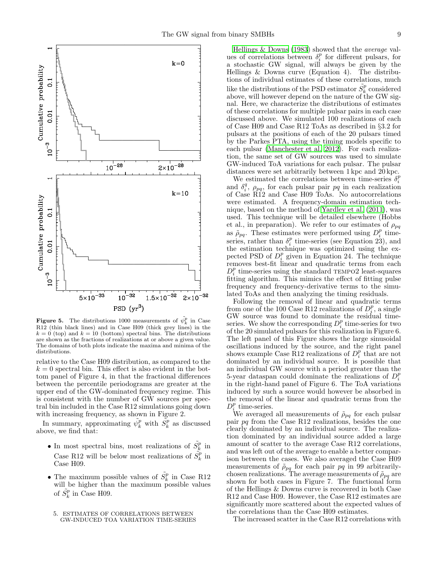

**Figure 5.** The distributions 1000 measurements of  $\tilde{\psi}_k^p$  in Case R12 (thin black lines) and in Case H09 (thick grey lines) in the  $k = 0$  (top) and  $k = 10$  (bottom) spectral bins. The distributions are shown as the fractions of realizations at or above a given value. The domains of both plots indicate the maxima and minima of the distributions.

relative to the Case H09 distribution, as compared to the  $k = 0$  spectral bin. This effect is also evident in the bottom panel of Figure 4, in that the fractional differences between the percentile periodograms are greater at the upper end of the GW-dominated frequency regime. This is consistent with the number of GW sources per spectral bin included in the Case R12 simulations going down with increasing frequency, as shown in Figure 2.

In summary, approximating  $\tilde{\psi}_k^p$  with  $\tilde{S}_k^p$  as discussed above, we find that:

- $\bullet$  In most spectral bins, most realizations of  $\tilde{S^p_k}$  in Case R12 will be below most realizations of  $\tilde{S}_k^p$  in Case H09.
- The maximum possible values of  $\tilde{S}_k^p$  in Case R12 will be higher than the maximum possible values of  $\tilde{S}_k^p$  in Case H09.
	- 5. ESTIMATES OF CORRELATIONS BETWEEN GW-INDUCED TOA VARIATION TIME-SERIES

[Hellings & Downs \(1983\)](#page-12-0) showed that the average values of correlations between  $\delta_i^p$  for different pulsars, for a stochastic GW signal, will always be given by the Hellings & Downs curve (Equation 4). The distributions of individual estimates of these correlations, much like the distributions of the PSD estimator  $\tilde{S}_k^p$  considered above, will however depend on the nature of the GW signal. Here, we characterize the distributions of estimates of these correlations for multiple pulsar pairs in each case discussed above. We simulated 100 realizations of each of Case H09 and Case R12 ToAs as described in §3.2 for pulsars at the positions of each of the 20 pulsars timed by the Parkes PTA, using the timing models specific to each pulsar [\(Manchester et al. 2012\)](#page-13-20). For each realization, the same set of GW sources was used to simulate GW-induced ToA variations for each pulsar. The pulsar distances were set arbitrarily between 1 kpc and 20 kpc.

We estimated the correlations between time-series  $\delta_i^p$ and  $\delta_i^q$ ,  $\rho_{pq}$ , for each pulsar pair pq in each realization of Case R12 and Case H09 ToAs. No autocorrelations were estimated. A frequency-domain estimation technique, based on the method of [Yardley et al. \(2011\)](#page-13-7), was used. This technique will be detailed elsewhere (Hobbs et al., in preparation). We refer to our estimates of  $\rho_{pq}$ as  $\rho_{pq}$ . These estimates were performed using  $D_i^p$  timeseries, rather than  $\delta_i^p$  time-series (see Equation 23), and the estimation technique was optimized using the expected PSD of  $D_i^p$  given in Equation 24. The technique removes best-fit linear and quadratic terms from each  $D_i^p$  time-series using the standard TEMPO2 least-squares fitting algorithm. This mimics the effect of fitting pulse frequency and frequency-derivative terms to the simulated ToAs and then analyzing the timing residuals.

Following the removal of linear and quadratic terms from one of the 100 Case R12 realizations of  $D_i^p$ , a single GW source was found to dominate the residual timeseries. We show the corresponding  $D_i^p$  time-series for two of the 20 simulated pulsars for this realization in Figure 6. The left panel of this Figure shows the large sinusoidal oscillations induced by the source, and the right panel shows example Case R12 realizations of  $D_i^p$  that are not dominated by an individual source. It is possible that an individual GW source with a period greater than the 5-year dataspan could dominate the realizations of  $D_i^p$ in the right-hand panel of Figure 6. The ToA variations induced by such a source would however be absorbed in the removal of the linear and quadratic terms from the  $D_i^p$  time-series.

We averaged all measurements of  $\tilde{\rho}_{pq}$  for each pulsar pair pq from the Case R12 realizations, besides the one clearly dominated by an individual source. The realization dominated by an individual source added a large amount of scatter to the average Case R12 correlations, and was left out of the average to enable a better comparison between the cases. We also averaged the Case H09 measurements of  $\tilde{\rho}_{pq}$  for each pair pq in 99 arbitrarilychosen realizations. The average measurements of  $\rho_{pq}$  are shown for both cases in Figure 7. The functional form of the Hellings & Downs curve is recovered in both Case R12 and Case H09. However, the Case R12 estimates are significantly more scattered about the expected values of the correlations than the Case H09 estimates.

The increased scatter in the Case R12 correlations with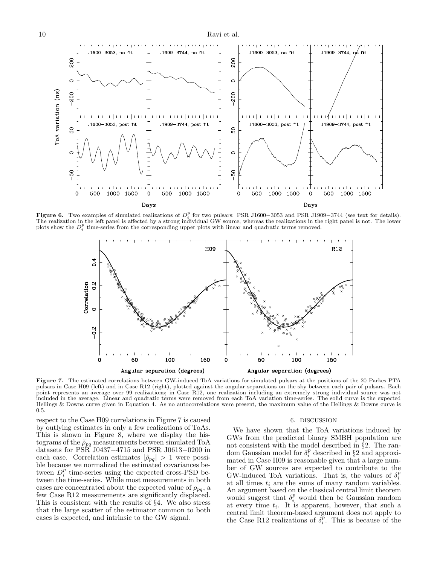

**Figure 6.** Two examples of simulated realizations of  $D_i^p$  for two pulsars: PSR J1600–3053 and PSR J1909–3744 (see text for details). The realization in the left panel is affected by a strong individual GW source, whereas the realizations in the right panel is not. The lower plots show the  $D_i^p$  time-series from the corresponding upper plots with linear and quadratic terms removed.

0

500

1000 1500

 $\mathbf 0$ 

Days

500

1000 1500



Figure 7. The estimated correlations between GW-induced ToA variations for simulated pulsars at the positions of the 20 Parkes PTA pulsars in Case H09 (left) and in Case R12 (right), plotted against the angular separations on the sky between each pair of pulsars. Each point represents an average over 99 realizations; in Case R12, one realization including an extremely strong individual source was not included in the average. Linear and quadratic terms were removed from each ToA variation time-series. The solid curve is the expected Hellings & Downs curve given in Equation 4. As no autocorrelations were present, the maximum value of the Hellings & Downs curve is 0.5.

respect to the Case H09 correlations in Figure 7 is caused by outlying estimates in only a few realizations of ToAs. This is shown in Figure 8, where we display the histograms of the  $\rho_{pq}$  measurements between simulated ToA datasets for PSR J0437−4715 and PSR J0613−0200 in each case. Correlation estimates  $|\tilde{\rho}_{pq}| > 1$  were possible because we normalized the estimated covariances between  $D_i^p$  time-series using the expected cross-PSD between the time-series. While most measurements in both cases are concentrated about the expected value of  $\rho_{pq}$ , a few Case R12 measurements are significantly displaced. This is consistent with the results of §4. We also stress that the large scatter of the estimator common to both cases is expected, and intrinsic to the GW signal.

#### 6. DISCUSSION

We have shown that the ToA variations induced by GWs from the predicted binary SMBH population are not consistent with the model described in §2. The random Gaussian model for  $\delta_i^p$  described in §2 and approximated in Case H09 is reasonable given that a large number of GW sources are expected to contribute to the GW-induced ToA variations. That is, the values of  $\delta_i^p$ at all times  $t_i$  are the sums of many random variables. An argument based on the classical central limit theorem would suggest that  $\delta_i^p$  would then be Gaussian random at every time  $t_i$ . It is apparent, however, that such a central limit theorem-based argument does not apply to the Case R12 realizations of  $\delta_i^{\vec{p}}$ . This is because of the

0

500

1000 1500

0

Days

500

1000 1500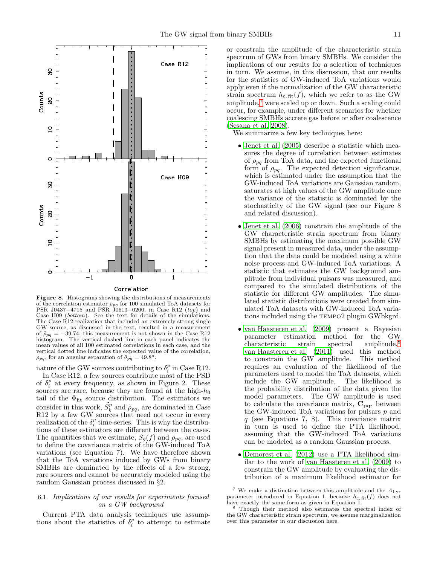

Correlation

Figure 8. Histograms showing the distributions of measurements of the correlation estimator  $\rho_{pq}$  for 100 simulated ToA datasets for PSR J0437−4715 and PSR J0613−0200, in Case R12 (top) and Case H09 (bottom). See the text for details of the simulations. The Case R12 realization that included an extremely strong single GW source, as discussed in the text, resulted in a measurement of  $\rho_{pq} = -39.74$ ; this measurement is not shown in the Case R12 histogram. The vertical dashed line in each panel indicates the mean values of all 100 estimated correlations in each case, and the vertical dotted line indicates the expected value of the correlation,  $\rho_{pq}$ , for an angular separation of  $\theta_{pq} = 49.8^\circ$ .

nature of the GW sources contributing to  $\delta_i^p$  in Case R12.

In Case R12, a few sources contribute most of the PSD of  $\delta_i^p$  at every frequency, as shown in Figure 2. These sources are rare, because they are found at the high- $h_0$ tail of the  $\Phi_{\text{fit}}$  source distribution. The estimators we consider in this work,  $\tilde{S}_k^p$  and  $\tilde{\rho}_{pq}$ , are dominated in Case R12 by a few GW sources that need not occur in every realization of the  $\delta_i^p$  time-series. This is why the distributions of these estimators are different between the cases. The quantities that we estimate,  $S_g(f)$  and  $\rho_{pq}$ , are used to define the covariance matrix of the GW-induced ToA variations (see Equation 7). We have therefore shown that the ToA variations induced by GWs from binary SMBHs are dominated by the effects of a few strong, rare sources and cannot be accurately modeled using the random Gaussian process discussed in §2.

## 6.1. Implications of our results for experiments focused on a GW background

Current PTA data analysis techniques use assumptions about the statistics of  $\delta_i^p$  to attempt to estimate or constrain the amplitude of the characteristic strain spectrum of GWs from binary SMBHs. We consider the implications of our results for a selection of techniques in turn. We assume, in this discussion, that our results for the statistics of GW-induced ToA variations would apply even if the normalization of the GW characteristic strain spectrum  $h_{c, fit}(f)$ , which we refer to as the GW amplitude, $\tau$  were scaled up or down. Such a scaling could occur, for example, under different scenarios for whether coalescing SMBHs accrete gas before or after coalescence [\(Sesana et al. 2008\)](#page-13-3).

We summarize a few key techniques here:

- [Jenet et al. \(2005\)](#page-13-6) describe a statistic which measures the degree of correlation between estimates of  $\rho_{pq}$  from ToA data, and the expected functional form of  $\rho_{pq}$ . The expected detection significance, which is estimated under the assumption that the GW-induced ToA variations are Gaussian random, saturates at high values of the GW amplitude once the variance of the statistic is dominated by the stochasticity of the GW signal (see our Figure 8 and related discussion).
- [Jenet et al. \(2006](#page-13-8)) constrain the amplitude of the GW characteristic strain spectrum from binary SMBHs by estimating the maximum possible GW signal present in measured data, under the assumption that the data could be modeled using a white noise process and GW-induced ToA variations. A statistic that estimates the GW background amplitude from individual pulsars was measured, and compared to the simulated distributions of the statistic for different GW amplitudes. The simulated statistic distributions were created from simulated ToA datasets with GW-induced ToA variations included using the TEMPO2 plugin GWbkgrd.
- [van Haasteren et al. \(2009](#page-13-11)) present a Bayesian parameter estimation method for the GW characteristic strain spectral amplitude.<sup>[8](#page-10-1)</sup> [van Haasteren et al. \(2011\)](#page-13-9) used this method to constrain the GW amplitude. This method requires an evaluation of the likelihood of the parameters used to model the ToA datasets, which include the GW amplitude. The likelihood is the probability distribution of the data given the model parameters. The GW amplitude is used to calculate the covariance matrix,  $C_{pq}$ , between the GW-induced ToA variations for pulsars  $p$  and q (see Equations 7, 8). This covariance matrix in turn is used to define the PTA likelihood, assuming that the GW-induced ToA variations can be modeled as a random Gaussian process.
- [Demorest et al. \(2012\)](#page-12-5) use a PTA likelihood similar to the work of [van Haasteren et al. \(2009](#page-13-11)) to constrain the GW amplitude by evaluating the distribution of a maximum likelihood estimator for

<span id="page-10-0"></span><sup>&</sup>lt;sup>7</sup> We make a distinction between this amplitude and the  $A_{1\,\text{yr}}$ parameter introduced in Equation 1, because  $h_{\rm c, fit}(f)$  does not have exactly the same form as given in Equation 1.

<span id="page-10-1"></span>Though their method also estimates the spectral index of the GW characteristic strain spectrum, we assume marginalization over this parameter in our discussion here.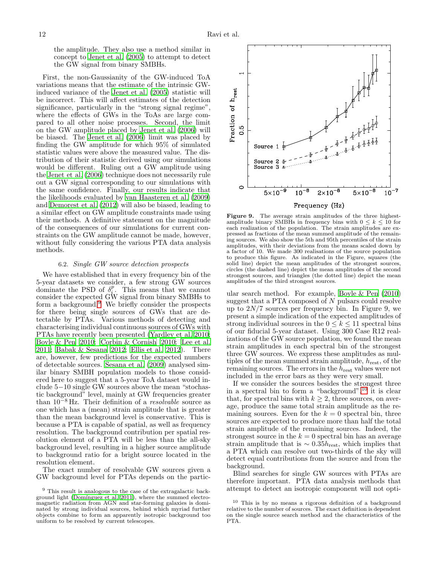the amplitude. They also use a method similar in concept to [Jenet et al. \(2005\)](#page-13-6) to attempt to detect the GW signal from binary SMBHs.

First, the non-Gaussianity of the GW-induced ToA variations means that the estimate of the intrinsic GWinduced variance of the [Jenet et al. \(2005\)](#page-13-6) statistic will be incorrect. This will affect estimates of the detection significance, particularly in the "strong signal regime", where the effects of GWs in the ToAs are large compared to all other noise processes. Second, the limit on the GW amplitude placed by [Jenet et al. \(2006](#page-13-8)) will be biased. The [Jenet et al. \(2006](#page-13-8)) limit was placed by finding the GW amplitude for which 95% of simulated statistic values were above the measured value. The distribution of their statistic derived using our simulations would be different. Ruling out a GW amplitude using the [Jenet et al. \(2006\)](#page-13-8) technique does not necessarily rule out a GW signal corresponding to our simulations with the same confidence. Finally, our results indicate that the likelihoods evaluated by [van Haasteren et al. \(2009](#page-13-11)) and [Demorest et al. \(2012\)](#page-12-5) will also be biased, leading to a similar effect on GW amplitude constraints made using their methods. A definitive statement on the magnitude of the consequences of our simulations for current constraints on the GW amplitude cannot be made, however, without fully considering the various PTA data analysis methods.

## 6.2. Single GW source detection prospects

We have established that in every frequency bin of the 5-year datasets we consider, a few strong GW sources dominate the PSD of  $\delta_i^p$ . This means that we cannot consider the expected GW signal from binary SMBHs to form a background.[9](#page-11-0) We briefly consider the prospects for there being single sources of GWs that are detectable by PTAs. Various methods of detecting and characterising individual continuous sources of GWs with PTAs have recently been presented [\(Yardley et al. 2010;](#page-13-22) [Boyle & Pen 2010;](#page-12-14) [Corbin & Cornish 2010;](#page-12-15) [Lee et al.](#page-13-23) [2011;](#page-13-23) [Babak & Sesana 2012;](#page-12-16) [Ellis et al. 2012\)](#page-12-17). There are, however, few predictions for the expected numbers of detectable sources. [Sesana et al. \(2009](#page-13-16)) analysed similar binary SMBH population models to those considered here to suggest that a 5-year ToA dataset would include 5−10 single GW sources above the mean "stochastic background" level, mainly at GW frequencies greater than  $10^{-8}$  Hz. Their definition of a *resolvable* source as one which has a (mean) strain amplitude that is greater than the mean background level is conservative. This is because a PTA is capable of spatial, as well as frequency resolution. The background contribution per spatial resolution element of a PTA will be less than the all-sky background level, resulting in a higher source amplitude to background ratio for a bright source located in the resolution element.

The exact number of resolvable GW sources given a GW background level for PTAs depends on the partic-



Figure 9. The average strain amplitudes of the three highestamplitude binary SMBHs in frequency bins with  $0 \leq k \leq 10$  for each realization of the population. The strain amplitudes are expressed as fractions of the mean summed amplitude of the remaining sources. We also show the 5th and 95th percentiles of the strain amplitudes, with their deviations from the means scaled down by a factor of 10. We made 300 realisations of the source population to produce this figure. As indicated in the Figure, squares (the solid line) depict the mean amplitudes of the strongest sources, circles (the dashed line) depict the mean amplitudes of the second strongest sources, and triangles (the dotted line) depict the mean amplitudes of the third strongest sources.

ular search method. For example, [Boyle & Pen \(2010](#page-12-14)) suggest that a PTA composed of  $N$  pulsars could resolve up to  $2N/7$  sources per frequency bin. In Figure 9, we present a simple indication of the expected amplitudes of strong individual sources in the  $0 \leq k \leq 11$  spectral bins of our fiducial 5-year dataset. Using 300 Case R12 realizations of the GW source population, we found the mean strain amplitudes in each spectral bin of the strongest three GW sources. We express these amplitudes as multiples of the mean summed strain amplitude,  $h_{\text{rest}}$ , of the remaining sources. The errors in the  $h_{\text{rest}}$  values were not included in the error bars as they were very small.

If we consider the sources besides the strongest three in a spectral bin to form a "background",<sup>[10](#page-11-1)</sup> it is clear that, for spectral bins with  $k \geq 2$ , three sources, on average, produce the same total strain amplitude as the remaining sources. Even for the  $k = 0$  spectral bin, three sources are expected to produce more than half the total strain amplitude of the remaining sources. Indeed, the strongest source in the  $k = 0$  spectral bin has an average strain amplitude that is  $\sim 0.35 h_{\text{rest}}$ , which implies that a PTA which can resolve out two-thirds of the sky will detect equal contributions from the source and from the background.

Blind searches for single GW sources with PTAs are therefore important. PTA data analysis methods that attempt to detect an isotropic component will not opti-

<span id="page-11-0"></span> $^{9}$  This result is analogous to the case of the extragalactic background light (Domínguez et al. 2011), where the summed electromagnetic radiation from AGN and star-forming galaxies is dominated by strong individual sources, behind which myriad further objects combine to form an apparently isotropic background too uniform to be resolved by current telescopes.

<span id="page-11-1"></span><sup>10</sup> This is by no means a rigorous definition of a background relative to the number of sources. The exact definition is dependent on the single source search method and the characteristics of the PTA.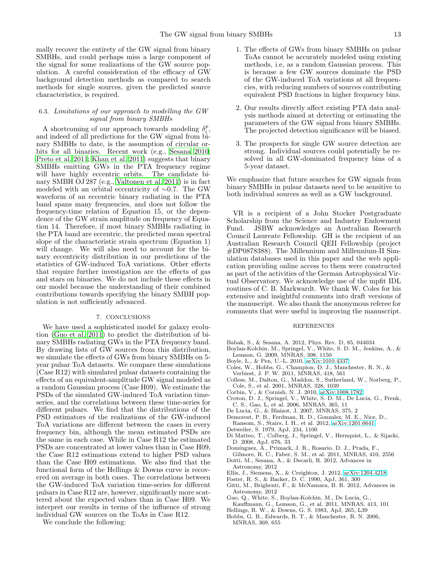mally recover the entirety of the GW signal from binary SMBHs, and could perhaps miss a large component of the signal for some realizations of the GW source population. A careful consideration of the efficacy of GW background detection methods as compared to search methods for single sources, given the predicted source characteristics, is required.

## 6.3. Limitations of our approach to modelling the GW signal from binary SMBHs

A shortcoming of our approach towards modeling  $\delta_i^p$ , and indeed of all predictions for the GW signal from binary SMBHs to date, is the assumption of circular orbits for all binaries. Recent work (e.g., [Sesana 2010;](#page-13-24) [Preto et al. 2011;](#page-13-25) [Khan et al. 2011\)](#page-13-26) suggests that binary SMBHs emitting GWs in the PTA frequency regime will have highly eccentric orbits. The candidate binary SMBH OJ 287 (e.g., [Valtonen et al. 2011\)](#page-13-27) is in fact modeled with an orbital eccentricity of ∼0.7. The GW waveform of an eccentric binary radiating in the PTA band spans many frequencies, and does not follow the frequency-time relation of Equation 15, or the dependence of the GW strain amplitude on frequency of Equation 14. Therefore, if most binary SMBHs radiating in the PTA band are eccentric, the predicted mean spectral slope of the characteristic strain spectrum (Equation 1) will change. We will also need to account for the binary eccentricity distribution in our predictions of the statistics of GW-induced ToA variations. Other effects that require further investigation are the effects of gas and stars on binaries. We do not include these effects in our model because the understanding of their combined contributions towards specifying the binary SMBH population is not sufficiently advanced.

### 7. CONCLUSIONS

We have used a sophisticated model for galaxy evolution [\(Guo et al. 2011\)](#page-12-7) to predict the distribution of binary SMBHs radiating GWs in the PTA frequency band. By drawing lists of GW sources from this distribution, we simulate the effects of GWs from binary SMBHs on 5 year pulsar ToA datasets. We compare these simulations (Case R12) with simulated pulsar datasets containing the effects of an equivalent-amplitude GW signal modeled as a random Gaussian process (Case H09). We estimate the PSDs of the simulated GW-induced ToA variation timeseries, and the correlations between these time-series for different pulsars. We find that the distributions of the PSD estimators of the realizations of the GW-induced ToA variations are different between the cases in every frequency bin, although the mean estimated PSDs are the same in each case. While in Case R12 the estimated PSDs are concentrated at lower values than in Case H09, the Case R12 estimations extend to higher PSD values than the Case H09 estimations. We also find that the functional form of the Hellings & Downs curve is recovered on average in both cases. The correlations between the GW-induced ToA variation time-series for different pulsars in Case R12 are, however, significantly more scattered about the expected values than in Case H09. We interpret our results in terms of the influence of strong individual GW sources on the ToAs in Case R12.

We conclude the following:

- 1. The effects of GWs from binary SMBHs on pulsar ToAs cannot be accurately modeled using existing methods, i.e, as a random Gaussian process. This is because a few GW sources dominate the PSD of the GW-induced ToA variations at all frequencies, with reducing numbers of sources contributing equivalent PSD fractions in higher frequency bins.
- 2. Our results directly affect existing PTA data analysis methods aimed at detecting or estimating the parameters of the GW signal from binary SMBHs. The projected detection significance will be biased.
- 3. The prospects for single GW source detection are strong. Individual sources could potentially be resolved in all GW-dominated frequency bins of a 5-year dataset.

We emphasize that future searches for GW signals from binary SMBHs in pulsar datasets need to be sensitive to both individual sources as well as a GW background.

VR is a recipient of a John Stocker Postgraduate Scholarship from the Science and Industry Endowment Fund. JSBW acknowledges an Australian Research Council Laureate Fellowship. GH is the recipient of an Australian Research Council QEII Fellowship (project #DP0878388). The Millennium and Millennium-II Simulation databases used in this paper and the web application providing online access to them were constructed as part of the activities of the German Astrophysical Virtual Observatory. We acknowledge use of the mpfit IDL routines of C. B. Markwardt. We thank W. Coles for his extensive and insightful comments into draft versions of the manuscript. We also thank the anonymous referee for comments that were useful in improving the manuscript.

#### REFERENCES

- <span id="page-12-16"></span>Babak, S., & Sesana, A. 2012, Phys. Rev. D, 85, 044034
- <span id="page-12-10"></span>Boylan-Kolchin, M., Springel, V., White, S. D. M., Jenkins, A., & Lemson, G. 2009, MNRAS, 398, 1150
- <span id="page-12-14"></span>Boyle, L., & Pen, U.-L. 2010, [arXiv:1010.4337](http://arxiv.org/abs/1010.4337)
- <span id="page-12-13"></span>Coles, W., Hobbs, G., Champion, D. J., Manchester, R. N., & Verbiest, J. P. W. 2011, MNRAS, 418, 561
- <span id="page-12-6"></span>Colless, M., Dalton, G., Maddox, S., Sutherland, W., Norberg, P., Cole, S., et al. 2001, MNRAS, 328, 1039
- <span id="page-12-15"></span>Corbin, V., & Cornish, N. J. 2010, [arXiv:1008.1782](http://arxiv.org/abs/1008.1782)
- <span id="page-12-11"></span>Croton, D. J., Springel, V., White, S. D. M., De Lucia, G., Frenk,
- C. S., Gao, L, et al. 2006, MNRAS, 365, 11
- De Lucia, G., & Blaizot, J. 2007, MNRAS, 375, 2
- <span id="page-12-12"></span><span id="page-12-5"></span>Demorest, P. B., Ferdman, R. D., Gonzalez, M. E., Nice, D.,
- Ransom, S., Stairs, I. H., et al. 2012, [arXiv:1201.6641](http://arxiv.org/abs/1201.6641)
- <span id="page-12-4"></span>Detweiler, S. 1979, ApJ, 234, 1100
- <span id="page-12-3"></span>Di Matteo, T., Colberg, J., Springel, V., Hernquist, L., & Sijacki, D. 2008, ApJ, 676, 33
- <span id="page-12-18"></span>Domínguez, A., Primack, J. R., Rosario, D. J., Prada, F.,
- <span id="page-12-9"></span>Gilmore, R. C., Faber, S. M., et al. 2011, MNRAS, 410, 2556 Dotti, M., Sesana, A., & Decarli, R. 2012, Advances in
- Astronomy, 2012
- <span id="page-12-17"></span>Ellis, J., Siemens, X., & Creighton, J. 2012, [arXiv:1204.4218](http://arxiv.org/abs/1204.4218)
- <span id="page-12-1"></span>Foster, R. S., & Backer, D. C. 1990, ApJ, 361, 300
- <span id="page-12-2"></span>Gitti, M., Brighenti, F., & McNamara, B. R. 2012, Advances in Astronomy, 2012
- <span id="page-12-7"></span>Guo, Q., White, S., Boylan-Kolchin, M., De Lucia, G.,
- Kauffmann, G., Lemson, G., et al. 2011, MNRAS, 413, 101
- <span id="page-12-0"></span>Hellings, R. W., & Downs, G. S. 1983, ApJ, 265, L39
- <span id="page-12-8"></span>Hobbs, G. B., Edwards, R. T., & Manchester, R. N. 2006, MNRAS, 369, 655